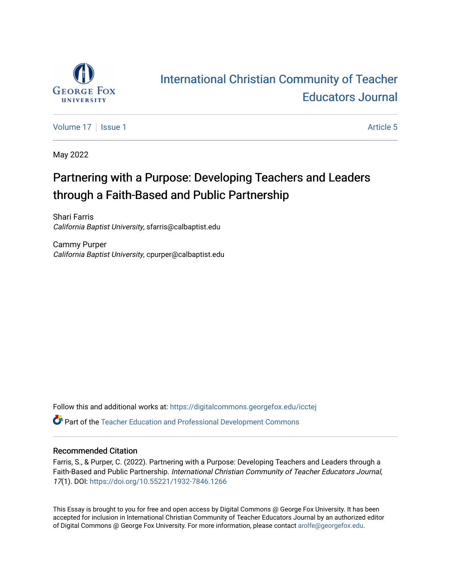

# [International Christian Community of Teacher](https://digitalcommons.georgefox.edu/icctej)  [Educators Journal](https://digitalcommons.georgefox.edu/icctej)

[Volume 17](https://digitalcommons.georgefox.edu/icctej/vol17) | [Issue 1](https://digitalcommons.georgefox.edu/icctej/vol17/iss1) Article 5

May 2022

## Partnering with a Purpose: Developing Teachers and Leaders through a Faith-Based and Public Partnership

Shari Farris California Baptist University, sfarris@calbaptist.edu

Cammy Purper California Baptist University, cpurper@calbaptist.edu

Follow this and additional works at: [https://digitalcommons.georgefox.edu/icctej](https://digitalcommons.georgefox.edu/icctej?utm_source=digitalcommons.georgefox.edu%2Ficctej%2Fvol17%2Fiss1%2F5&utm_medium=PDF&utm_campaign=PDFCoverPages)  Part of the [Teacher Education and Professional Development Commons](http://network.bepress.com/hgg/discipline/803?utm_source=digitalcommons.georgefox.edu%2Ficctej%2Fvol17%2Fiss1%2F5&utm_medium=PDF&utm_campaign=PDFCoverPages) 

#### Recommended Citation

Farris, S., & Purper, C. (2022). Partnering with a Purpose: Developing Teachers and Leaders through a Faith-Based and Public Partnership. International Christian Community of Teacher Educators Journal, 17(1). DOI: <https://doi.org/10.55221/1932-7846.1266>

This Essay is brought to you for free and open access by Digital Commons @ George Fox University. It has been accepted for inclusion in International Christian Community of Teacher Educators Journal by an authorized editor of Digital Commons @ George Fox University. For more information, please contact [arolfe@georgefox.edu](mailto:arolfe@georgefox.edu).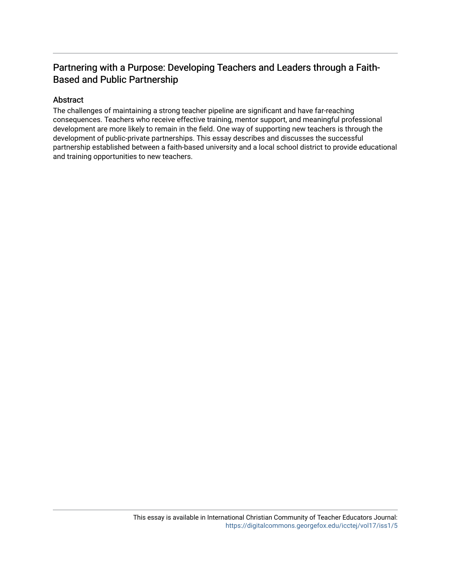### Partnering with a Purpose: Developing Teachers and Leaders through a Faith-Based and Public Partnership

#### Abstract

The challenges of maintaining a strong teacher pipeline are significant and have far-reaching consequences. Teachers who receive effective training, mentor support, and meaningful professional development are more likely to remain in the field. One way of supporting new teachers is through the development of public-private partnerships. This essay describes and discusses the successful partnership established between a faith-based university and a local school district to provide educational and training opportunities to new teachers.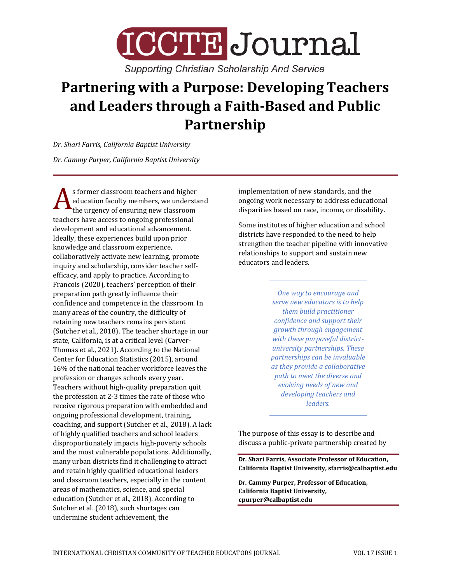

**Supporting Christian Scholarship And Service** 

# **Partnering with a Purpose: Developing Teachers and Leaders through a Faith-Based and Public Partnership**

*Dr. Shari Farris, California Baptist University*

*Dr. Cammy Purper, California Baptist University*

s former classroom teachers and higher education faculty members, we understand the urgency of ensuring new classroom **A** stormer classroom teachers and ingited<br>education faculty members, we underst<br>teachers have access to ongoing professional development and educational advancement. Ideally, these experiences build upon prior knowledge and classroom experience, collaboratively activate new learning, promote inquiry and scholarship, consider teacher selfefficacy, and apply to practice. According to Francois (2020), teachers' perception of their preparation path greatly influence their confidence and competence in the classroom. In many areas of the country, the difficulty of retaining new teachers remains persistent (Sutcher et al., 2018). The teacher shortage in our state, California, is at a critical level (Carver-Thomas et al., 2021). According to the National Center for Education Statistics (2015), around 16% of the national teacher workforce leaves the profession or changes schools every year. Teachers without high-quality preparation quit the profession at 2-3 times the rate of those who receive rigorous preparation with embedded and ongoing professional development, training, coaching, and support (Sutcher et al., 2018). A lack of highly qualified teachers and school leaders disproportionately impacts high-poverty schools and the most vulnerable populations. Additionally, many urban districts find it challenging to attract and retain highly qualified educational leaders and classroom teachers, especially in the content areas of mathematics, science, and special education (Sutcher et al., 2018). According to Sutcher et al. (2018), such shortages can undermine student achievement, the

implementation of new standards, and the ongoing work necessary to address educational disparities based on race, income, or disability.

Some institutes of higher education and school districts have responded to the need to help strengthen the teacher pipeline with innovative relationships to support and sustain new educators and leaders.

> *One way to encourage and serve new educators is to help them build practitioner confidence and support their growth through engagement with these purposeful districtuniversity partnerships. These partnerships can be invaluable as they provide a collaborative path to meet the diverse and evolving needs of new and developing teachers and leaders.*

The purpose of this essay is to describe and discuss a public-private partnership created by

**Dr. Shari Farris, Associate Professor of Education, California Baptist University, sfarris@calbaptist.edu**

**Dr. Cammy Purper, Professor of Education, California Baptist University, cpurper@calbaptist.edu**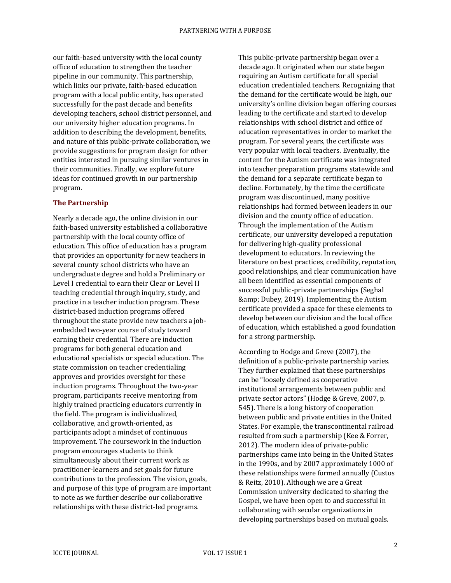our faith-based university with the local county office of education to strengthen the teacher pipeline in our community. This partnership, which links our private, faith-based education program with a local public entity, has operated successfully for the past decade and benefits developing teachers, school district personnel, and our university higher education programs. In addition to describing the development, benefits, and nature of this public-private collaboration, we provide suggestions for program design for other entities interested in pursuing similar ventures in their communities. Finally, we explore future ideas for continued growth in our partnership program.

#### **The Partnership**

Nearly a decade ago, the online division in our faith-based university established a collaborative partnership with the local county office of education. This office of education has a program that provides an opportunity for new teachers in several county school districts who have an undergraduate degree and hold a Preliminary or Level I credential to earn their Clear or Level II teaching credential through inquiry, study, and practice in a teacher induction program. These district-based induction programs offered throughout the state provide new teachers a jobembedded two-year course of study toward earning their credential. There are induction programs for both general education and educational specialists or special education. The state commission on teacher credentialing approves and provides oversight for these induction programs. Throughout the two-year program, participants receive mentoring from highly trained practicing educators currently in the field. The program is individualized, collaborative, and growth-oriented, as participants adopt a mindset of continuous improvement. The coursework in the induction program encourages students to think simultaneously about their current work as practitioner-learners and set goals for future contributions to the profession. The vision, goals, and purpose of this type of program are important to note as we further describe our collaborative relationships with these district-led programs.

This public-private partnership began over a decade ago. It originated when our state began requiring an Autism certificate for all special education credentialed teachers. Recognizing that the demand for the certificate would be high, our university's online division began offering courses leading to the certificate and started to develop relationships with school district and office of education representatives in order to market the program. For several years, the certificate was very popular with local teachers. Eventually, the content for the Autism certificate was integrated into teacher preparation programs statewide and the demand for a separate certificate began to decline. Fortunately, by the time the certificate program was discontinued, many positive relationships had formed between leaders in our division and the county office of education. Through the implementation of the Autism certificate, our university developed a reputation for delivering high-quality professional development to educators. In reviewing the literature on best practices, credibility, reputation, good relationships, and clear communication have all been identified as essential components of successful public-private partnerships (Seghal & amp; Dubey, 2019). Implementing the Autism certificate provided a space for these elements to develop between our division and the local office of education, which established a good foundation for a strong partnership.

According to Hodge and Greve (2007), the definition of a public-private partnership varies. They further explained that these partnerships can be "loosely defined as cooperative institutional arrangements between public and private sector actors" (Hodge & Greve, 2007, p. 545). There is a long history of cooperation between public and private entities in the United States. For example, the transcontinental railroad resulted from such a partnership (Kee & Forrer, 2012). The modern idea of private-public partnerships came into being in the United States in the 1990s, and by 2007 approximately 1000 of these relationships were formed annually (Custos & Reitz, 2010). Although we are a Great Commission university dedicated to sharing the Gospel, we have been open to and successful in collaborating with secular organizations in developing partnerships based on mutual goals.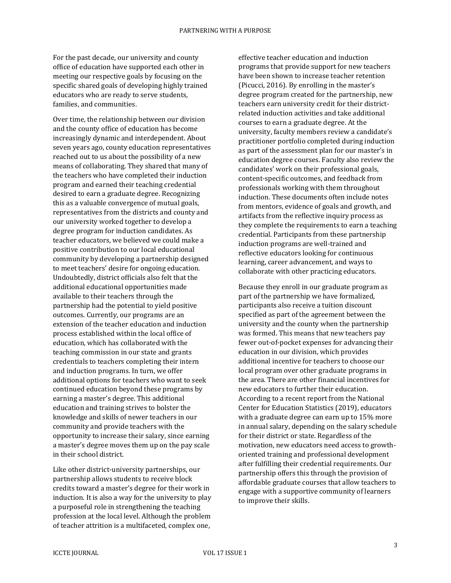For the past decade, our university and county office of education have supported each other in meeting our respective goals by focusing on the specific shared goals of developing highly trained educators who are ready to serve students, families, and communities.

Over time, the relationship between our division and the county office of education has become increasingly dynamic and interdependent. About seven years ago, county education representatives reached out to us about the possibility of a new means of collaborating. They shared that many of the teachers who have completed their induction program and earned their teaching credential desired to earn a graduate degree. Recognizing this as a valuable convergence of mutual goals, representatives from the districts and county and our university worked together to develop a degree program for induction candidates. As teacher educators, we believed we could make a positive contribution to our local educational community by developing a partnership designed to meet teachers' desire for ongoing education. Undoubtedly, district officials also felt that the additional educational opportunities made available to their teachers through the partnership had the potential to yield positive outcomes. Currently, our programs are an extension of the teacher education and induction process established within the local office of education, which has collaborated with the teaching commission in our state and grants credentials to teachers completing their intern and induction programs. In turn, we offer additional options for teachers who want to seek continued education beyond these programs by earning a master's degree. This additional education and training strives to bolster the knowledge and skills of newer teachers in our community and provide teachers with the opportunity to increase their salary, since earning a master's degree moves them up on the pay scale in their school district.

Like other district-university partnerships, our partnership allows students to receive block credits toward a master's degree for their work in induction. It is also a way for the university to play a purposeful role in strengthening the teaching profession at the local level. Although the problem of teacher attrition is a multifaceted, complex one,

effective teacher education and induction programs that provide support for new teachers have been shown to increase teacher retention (Picucci, 2016). By enrolling in the master's degree program created for the partnership, new teachers earn university credit for their districtrelated induction activities and take additional courses to earn a graduate degree. At the university, faculty members review a candidate's practitioner portfolio completed during induction as part of the assessment plan for our master's in education degree courses. Faculty also review the candidates' work on their professional goals, content-specific outcomes, and feedback from professionals working with them throughout induction. These documents often include notes from mentors, evidence of goals and growth, and artifacts from the reflective inquiry process as they complete the requirements to earn a teaching credential. Participants from these partnership induction programs are well-trained and reflective educators looking for continuous learning, career advancement, and ways to collaborate with other practicing educators.

Because they enroll in our graduate program as part of the partnership we have formalized, participants also receive a tuition discount specified as part of the agreement between the university and the county when the partnership was formed. This means that new teachers pay fewer out-of-pocket expenses for advancing their education in our division, which provides additional incentive for teachers to choose our local program over other graduate programs in the area. There are other financial incentives for new educators to further their education. According to a recent report from the National Center for Education Statistics (2019), educators with a graduate degree can earn up to 15% more in annual salary, depending on the salary schedule for their district or state. Regardless of the motivation, new educators need access to growthoriented training and professional development after fulfilling their credential requirements. Our partnership offers this through the provision of affordable graduate courses that allow teachers to engage with a supportive community of learners to improve their skills.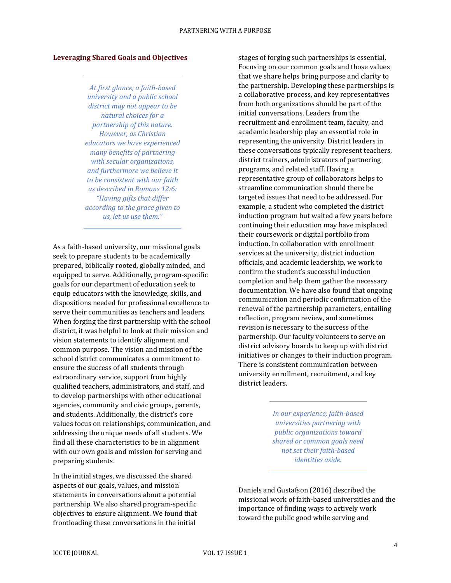#### **Leveraging Shared Goals and Objectives**

*At first glance, a faith-based university and a public school district may not appear to be natural choices for a partnership of this nature. However, as Christian educators we have experienced many benefits of partnering with secular organizations, and furthermore we believe it to be consistent with our faith as described in Romans 12:6: "Having gifts that differ according to the grace given to us, let us use them."*

As a faith-based university, our missional goals seek to prepare students to be academically prepared, biblically rooted, globally minded, and equipped to serve. Additionally, program-specific goals for our department of education seek to equip educators with the knowledge, skills, and dispositions needed for professional excellence to serve their communities as teachers and leaders. When forging the first partnership with the school district, it was helpful to look at their mission and vision statements to identify alignment and common purpose. The vision and mission of the school district communicates a commitment to ensure the success of all students through extraordinary service, support from highly qualified teachers, administrators, and staff, and to develop partnerships with other educational agencies, community and civic groups, parents, and students. Additionally, the district's core values focus on relationships, communication, and addressing the unique needs of all students. We find all these characteristics to be in alignment with our own goals and mission for serving and preparing students.

In the initial stages, we discussed the shared aspects of our goals, values, and mission statements in conversations about a potential partnership. We also shared program-specific objectives to ensure alignment. We found that frontloading these conversations in the initial

stages of forging such partnerships is essential. Focusing on our common goals and those values that we share helps bring purpose and clarity to the partnership. Developing these partnerships is a collaborative process, and key representatives from both organizations should be part of the initial conversations. Leaders from the recruitment and enrollment team, faculty, and academic leadership play an essential role in representing the university. District leaders in these conversations typically represent teachers, district trainers, administrators of partnering programs, and related staff. Having a representative group of collaborators helps to streamline communication should there be targeted issues that need to be addressed. For example, a student who completed the district induction program but waited a few years before continuing their education may have misplaced their coursework or digital portfolio from induction. In collaboration with enrollment services at the university, district induction officials, and academic leadership, we work to confirm the student's successful induction completion and help them gather the necessary documentation. We have also found that ongoing communication and periodic confirmation of the renewal of the partnership parameters, entailing reflection, program review, and sometimes revision is necessary to the success of the partnership. Our faculty volunteers to serve on district advisory boards to keep up with district initiatives or changes to their induction program. There is consistent communication between university enrollment, recruitment, and key district leaders.

> *In our experience, faith-based universities partnering with public organizations toward shared or common goals need not set their faith-based identities aside.*

Daniels and Gustafson (2016) described the missional work of faith-based universities and the importance of finding ways to actively work toward the public good while serving and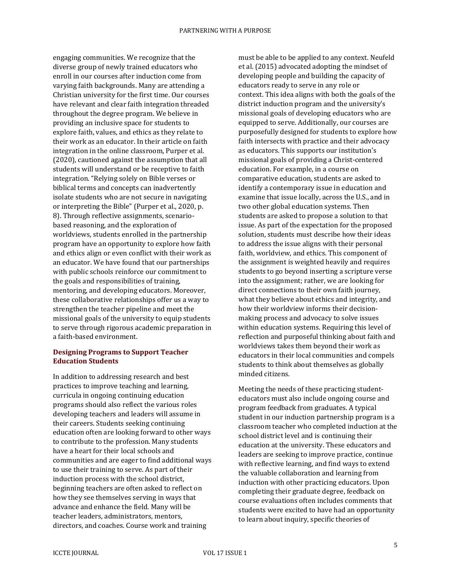engaging communities. We recognize that the diverse group of newly trained educators who enroll in our courses after induction come from varying faith backgrounds. Many are attending a Christian university for the first time. Our courses have relevant and clear faith integration threaded throughout the degree program. We believe in providing an inclusive space for students to explore faith, values, and ethics as they relate to their work as an educator. In their article on faith integration in the online classroom, Purper et al. (2020), cautioned against the assumption that all students will understand or be receptive to faith integration. "Relying solely on Bible verses or biblical terms and concepts can inadvertently isolate students who are not secure in navigating or interpreting the Bible" (Purper et al., 2020, p. 8). Through reflective assignments, scenariobased reasoning, and the exploration of worldviews, students enrolled in the partnership program have an opportunity to explore how faith and ethics align or even conflict with their work as an educator. We have found that our partnerships with public schools reinforce our commitment to the goals and responsibilities of training, mentoring, and developing educators. Moreover, these collaborative relationships offer us a way to strengthen the teacher pipeline and meet the missional goals of the university to equip students to serve through rigorous academic preparation in a faith-based environment.

#### **Designing Programs to Support Teacher Education Students**

In addition to addressing research and best practices to improve teaching and learning, curricula in ongoing continuing education programs should also reflect the various roles developing teachers and leaders will assume in their careers. Students seeking continuing education often are looking forward to other ways to contribute to the profession. Many students have a heart for their local schools and communities and are eager to find additional ways to use their training to serve. As part of their induction process with the school district, beginning teachers are often asked to reflect on how they see themselves serving in ways that advance and enhance the field. Many will be teacher leaders, administrators, mentors, directors, and coaches. Course work and training

must be able to be applied to any context. Neufeld et al. (2015) advocated adopting the mindset of developing people and building the capacity of educators ready to serve in any role or context. This idea aligns with both the goals of the district induction program and the university's missional goals of developing educators who are equipped to serve. Additionally, our courses are purposefully designed for students to explore how faith intersects with practice and their advocacy as educators. This supports our institution's missional goals of providing a Christ-centered education. For example, in a course on comparative education, students are asked to identify a contemporary issue in education and examine that issue locally, across the U.S., and in two other global education systems. Then students are asked to propose a solution to that issue. As part of the expectation for the proposed solution, students must describe how their ideas to address the issue aligns with their personal faith, worldview, and ethics. This component of the assignment is weighted heavily and requires students to go beyond inserting a scripture verse into the assignment; rather, we are looking for direct connections to their own faith journey, what they believe about ethics and integrity, and how their worldview informs their decisionmaking process and advocacy to solve issues within education systems. Requiring this level of reflection and purposeful thinking about faith and worldviews takes them beyond their work as educators in their local communities and compels students to think about themselves as globally minded citizens.

Meeting the needs of these practicing studenteducators must also include ongoing course and program feedback from graduates. A typical student in our induction partnership program is a classroom teacher who completed induction at the school district level and is continuing their education at the university. These educators and leaders are seeking to improve practice, continue with reflective learning, and find ways to extend the valuable collaboration and learning from induction with other practicing educators. Upon completing their graduate degree, feedback on course evaluations often includes comments that students were excited to have had an opportunity to learn about inquiry, specific theories of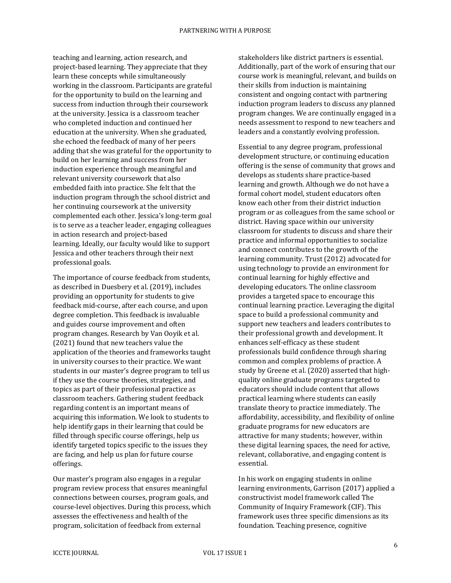teaching and learning, action research, and project-based learning. They appreciate that they learn these concepts while simultaneously working in the classroom. Participants are grateful for the opportunity to build on the learning and success from induction through their coursework at the university. Jessica is a classroom teacher who completed induction and continued her education at the university. When she graduated, she echoed the feedback of many of her peers adding that she was grateful for the opportunity to build on her learning and success from her induction experience through meaningful and relevant university coursework that also embedded faith into practice. She felt that the induction program through the school district and her continuing coursework at the university complemented each other. Jessica's long-term goal is to serve as a teacher leader, engaging colleagues in action research and project-based learning. Ideally, our faculty would like to support Jessica and other teachers through their next professional goals.

The importance of course feedback from students, as described in Duesbery et al. (2019), includes providing an opportunity for students to give feedback mid-course, after each course, and upon degree completion. This feedback is invaluable and guides course improvement and often program changes. Research by Van Ooyik et al. (2021) found that new teachers value the application of the theories and frameworks taught in university courses to their practice. We want students in our master's degree program to tell us if they use the course theories, strategies, and topics as part of their professional practice as classroom teachers. Gathering student feedback regarding content is an important means of acquiring this information. We look to students to help identify gaps in their learning that could be filled through specific course offerings, help us identify targeted topics specific to the issues they are facing, and help us plan for future course offerings.

Our master's program also engages in a regular program review process that ensures meaningful connections between courses, program goals, and course-level objectives. During this process, which assesses the effectiveness and health of the program, solicitation of feedback from external

stakeholders like district partners is essential. Additionally, part of the work of ensuring that our course work is meaningful, relevant, and builds on their skills from induction is maintaining consistent and ongoing contact with partnering induction program leaders to discuss any planned program changes. We are continually engaged in a needs assessment to respond to new teachers and leaders and a constantly evolving profession.

Essential to any degree program, professional development structure, or continuing education offering is the sense of community that grows and develops as students share practice-based learning and growth. Although we do not have a formal cohort model, student educators often know each other from their district induction program or as colleagues from the same school or district. Having space within our university classroom for students to discuss and share their practice and informal opportunities to socialize and connect contributes to the growth of the learning community. Trust (2012) advocated for using technology to provide an environment for continual learning for highly effective and developing educators. The online classroom provides a targeted space to encourage this continual learning practice. Leveraging the digital space to build a professional community and support new teachers and leaders contributes to their professional growth and development. It enhances self-efficacy as these student professionals build confidence through sharing common and complex problems of practice. A study by Greene et al. (2020) asserted that highquality online graduate programs targeted to educators should include content that allows practical learning where students can easily translate theory to practice immediately. The affordability, accessibility, and flexibility of online graduate programs for new educators are attractive for many students; however, within these digital learning spaces, the need for active, relevant, collaborative, and engaging content is essential.

In his work on engaging students in online learning environments, Garrison (2017) applied a constructivist model framework called The Community of Inquiry Framework (CIF). This framework uses three specific dimensions as its foundation. Teaching presence, cognitive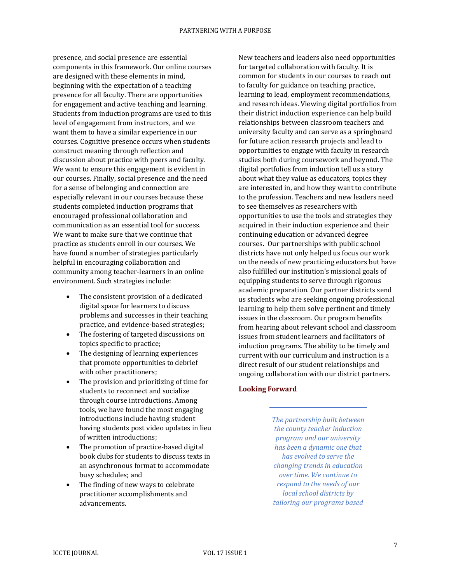presence, and social presence are essential components in this framework. Our online courses are designed with these elements in mind, beginning with the expectation of a teaching presence for all faculty. There are opportunities for engagement and active teaching and learning. Students from induction programs are used to this level of engagement from instructors, and we want them to have a similar experience in our courses. Cognitive presence occurs when students construct meaning through reflection and discussion about practice with peers and faculty. We want to ensure this engagement is evident in our courses. Finally, social presence and the need for a sense of belonging and connection are especially relevant in our courses because these students completed induction programs that encouraged professional collaboration and communication as an essential tool for success. We want to make sure that we continue that practice as students enroll in our courses. We have found a number of strategies particularly helpful in encouraging collaboration and community among teacher-learners in an online environment. Such strategies include:

- The consistent provision of a dedicated digital space for learners to discuss problems and successes in their teaching practice, and evidence-based strategies;
- The fostering of targeted discussions on topics specific to practice;
- The designing of learning experiences that promote opportunities to debrief with other practitioners;
- The provision and prioritizing of time for students to reconnect and socialize through course introductions. Among tools, we have found the most engaging introductions include having student having students post video updates in lieu of written introductions;
- The promotion of practice-based digital book clubs for students to discuss texts in an asynchronous format to accommodate busy schedules; and
- The finding of new ways to celebrate practitioner accomplishments and advancements.

New teachers and leaders also need opportunities for targeted collaboration with faculty. It is common for students in our courses to reach out to faculty for guidance on teaching practice, learning to lead, employment recommendations, and research ideas. Viewing digital portfolios from their district induction experience can help build relationships between classroom teachers and university faculty and can serve as a springboard for future action research projects and lead to opportunities to engage with faculty in research studies both during coursework and beyond. The digital portfolios from induction tell us a story about what they value as educators, topics they are interested in, and how they want to contribute to the profession. Teachers and new leaders need to see themselves as researchers with opportunities to use the tools and strategies they acquired in their induction experience and their continuing education or advanced degree courses. Our partnerships with public school districts have not only helped us focus our work on the needs of new practicing educators but have also fulfilled our institution's missional goals of equipping students to serve through rigorous academic preparation. Our partner districts send us students who are seeking ongoing professional learning to help them solve pertinent and timely issues in the classroom. Our program benefits from hearing about relevant school and classroom issues from student learners and facilitators of induction programs. The ability to be timely and current with our curriculum and instruction is a direct result of our student relationships and ongoing collaboration with our district partners.

#### **Looking Forward**

*The partnership built between the county teacher induction program and our university has been a dynamic one that has evolved to serve the changing trends in education over time. We continue to respond to the needs of our local school districts by tailoring our programs based*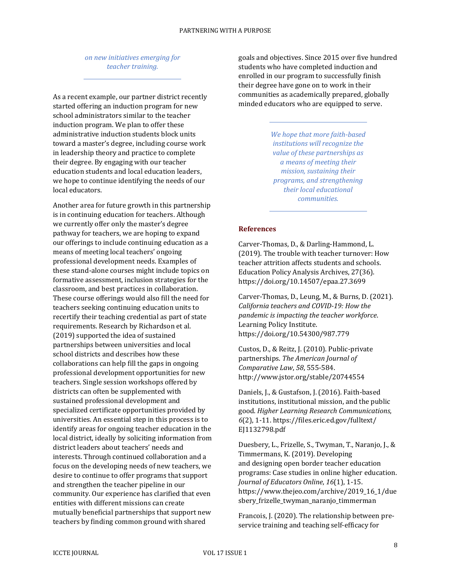#### *on new initiatives emerging for teacher training.*

As a recent example, our partner district recently started offering an induction program for new school administrators similar to the teacher induction program. We plan to offer these administrative induction students block units toward a master's degree, including course work in leadership theory and practice to complete their degree. By engaging with our teacher education students and local education leaders, we hope to continue identifying the needs of our local educators.

Another area for future growth in this partnership is in continuing education for teachers. Although we currently offer only the master's degree pathway for teachers, we are hoping to expand our offerings to include continuing education as a means of meeting local teachers' ongoing professional development needs. Examples of these stand-alone courses might include topics on formative assessment, inclusion strategies for the classroom, and best practices in collaboration. These course offerings would also fill the need for teachers seeking continuing education units to recertify their teaching credential as part of state requirements. Research by Richardson et al. (2019) supported the idea of sustained partnerships between universities and local school districts and describes how these collaborations can help fill the gaps in ongoing professional development opportunities for new teachers. Single session workshops offered by districts can often be supplemented with sustained professional development and specialized certificate opportunities provided by universities. An essential step in this process is to identify areas for ongoing teacher education in the local district, ideally by soliciting information from district leaders about teachers' needs and interests. Through continued collaboration and a focus on the developing needs of new teachers, we desire to continue to offer programs that support and strengthen the teacher pipeline in our community. Our experience has clarified that even entities with different missions can create mutually beneficial partnerships that support new teachers by finding common ground with shared

goals and objectives. Since 2015 over five hundred students who have completed induction and enrolled in our program to successfully finish their degree have gone on to work in their communities as academically prepared, globally minded educators who are equipped to serve.

> *We hope that more faith-based institutions will recognize the value of these partnerships as a means of meeting their mission, sustaining their programs, and strengthening their local educational communities.*

#### **References**

Carver-Thomas, D., & Darling-Hammond, L. (2019). The trouble with teacher turnover: How teacher attrition affects students and schools. Education Policy Analysis Archives, 27(36). https://doi.org/10.14507/epaa.27.3699

Carver-Thomas, D., Leung, M., & Burns, D. (2021). *California teachers and COVID-19: How the pandemic is impacting the teacher workforce*. Learning Policy Institute. https://doi.org/10.54300/987.779

Custos, D., & Reitz, J. (2010). Public-private partnerships. *The American Journal of Comparative Law*, *58*, 555-584. http://www.jstor.org/stable/20744554

Daniels, J., & Gustafson, J. (2016). Faith-based institutions, institutional mission, and the public good. *Higher Learning Research Communications*, *6*(2), 1-11. https://files.eric.ed.gov/fulltext/ EJ1132798.pdf

Duesbery, L., Frizelle, S., Twyman, T., Naranjo, J., & Timmermans, K. (2019). Developing and designing open border teacher education programs: Case studies in online higher education. *Journal of Educators Online*, *16*(1), 1-15. https://www.thejeo.com/archive/2019\_16\_1/due sbery\_frizelle\_twyman\_naranjo\_timmerman

Francois, J. (2020). The relationship between preservice training and teaching self-efficacy for